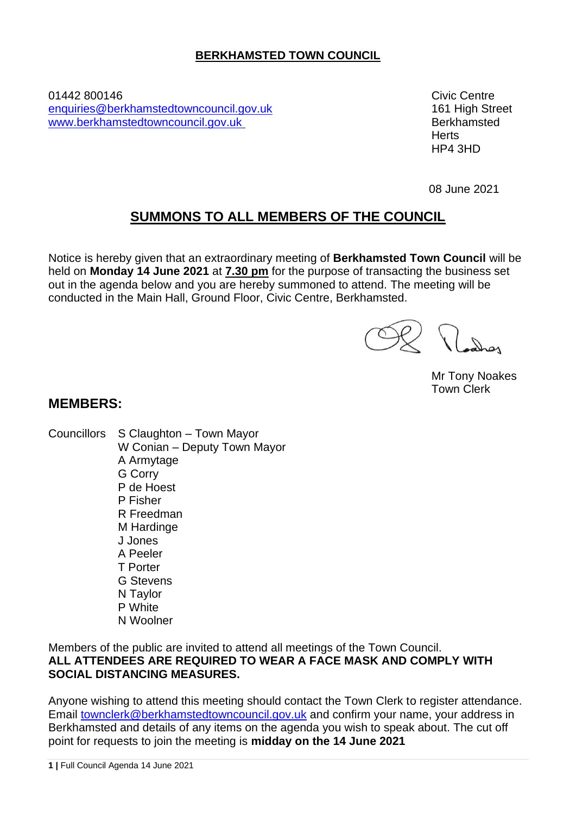# **BERKHAMSTED TOWN COUNCIL**

01442 800146 Civic Centre [enquiries@berkhamstedtowncouncil.gov.uk](mailto:enquiries@berkhamstedtowncouncil.gov.uk) 161 High Street [www.berkhamstedtowncouncil.gov.uk](http://www.berkhamstedtowncouncil.gov.uk/) and the series of the Berkhamsted

**Herts** HP4 3HD

08 June 2021

# **SUMMONS TO ALL MEMBERS OF THE COUNCIL**

Notice is hereby given that an extraordinary meeting of **Berkhamsted Town Council** will be held on **Monday 14 June 2021** at **7.30 pm** for the purpose of transacting the business set out in the agenda below and you are hereby summoned to attend. The meeting will be conducted in the Main Hall, Ground Floor, Civic Centre, Berkhamsted.

Mr Tony Noakes Town Clerk

# **MEMBERS:**

Councillors S Claughton – Town Mayor W Conian – Deputy Town Mayor A Armytage G Corry P de Hoest P Fisher R Freedman M Hardinge J Jones A Peeler T Porter G Stevens N Taylor P White N Woolner

Members of the public are invited to attend all meetings of the Town Council. **ALL ATTENDEES ARE REQUIRED TO WEAR A FACE MASK AND COMPLY WITH SOCIAL DISTANCING MEASURES.** 

Anyone wishing to attend this meeting should contact the Town Clerk to register attendance. Email [townclerk@berkhamstedtowncouncil.gov.uk](mailto:townclerk@berkhamstedtowncouncil.gov.uk) and confirm your name, your address in Berkhamsted and details of any items on the agenda you wish to speak about. The cut off point for requests to join the meeting is **midday on the 14 June 2021**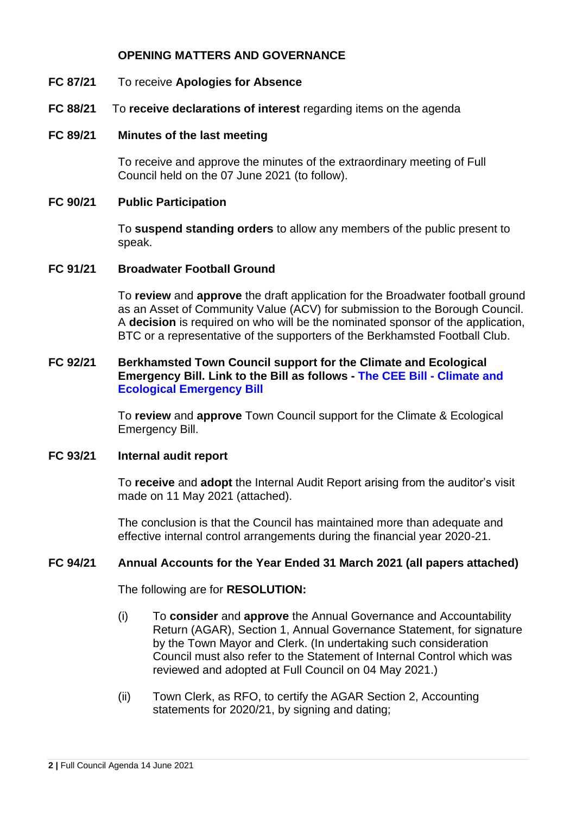# **OPENING MATTERS AND GOVERNANCE**

- **FC 87/21** To receive **Apologies for Absence**
- **FC 88/21** To **receive declarations of interest** regarding items on the agenda
- **FC 89/21 Minutes of the last meeting**

To receive and approve the minutes of the extraordinary meeting of Full Council held on the 07 June 2021 (to follow).

#### **FC 90/21 Public Participation**

To **suspend standing orders** to allow any members of the public present to speak.

#### **FC 91/21 Broadwater Football Ground**

To **review** and **approve** the draft application for the Broadwater football ground as an Asset of Community Value (ACV) for submission to the Borough Council. A **decision** is required on who will be the nominated sponsor of the application, BTC or a representative of the supporters of the Berkhamsted Football Club.

## **FC 92/21 Berkhamsted Town Council support for the Climate and Ecological Emergency Bill. Link to the Bill as follows - [The CEE Bill -](https://www.ceebill.uk/bill) Climate and [Ecological Emergency Bill](https://www.ceebill.uk/bill)**

To **review** and **approve** Town Council support for the Climate & Ecological Emergency Bill.

#### **FC 93/21 Internal audit report**

To **receive** and **adopt** the Internal Audit Report arising from the auditor's visit made on 11 May 2021 (attached).

The conclusion is that the Council has maintained more than adequate and effective internal control arrangements during the financial year 2020-21.

# **FC 94/21 Annual Accounts for the Year Ended 31 March 2021 (all papers attached)**

The following are for **RESOLUTION:**

- (i) To **consider** and **approve** the Annual Governance and Accountability Return (AGAR), Section 1, Annual Governance Statement, for signature by the Town Mayor and Clerk. (In undertaking such consideration Council must also refer to the Statement of Internal Control which was reviewed and adopted at Full Council on 04 May 2021.)
- (ii) Town Clerk, as RFO, to certify the AGAR Section 2, Accounting statements for 2020/21, by signing and dating;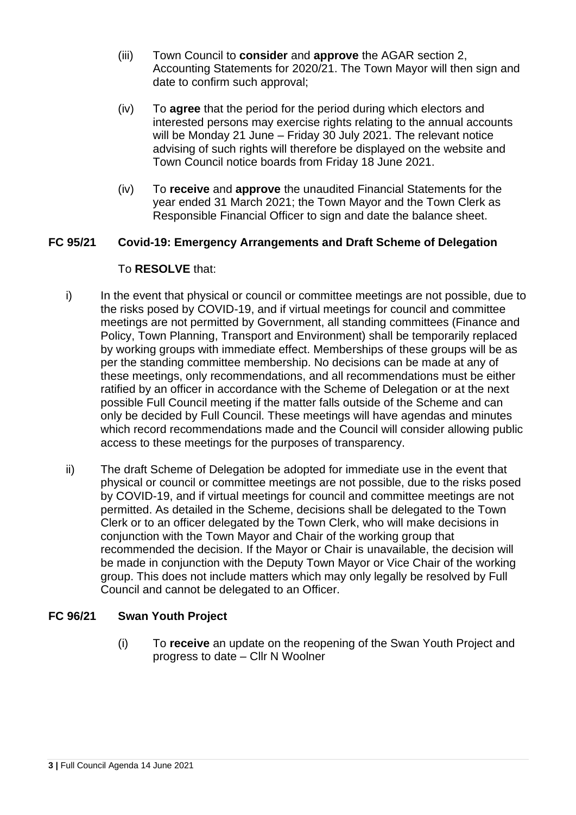- (iii) Town Council to **consider** and **approve** the AGAR section 2, Accounting Statements for 2020/21. The Town Mayor will then sign and date to confirm such approval;
- (iv) To **agree** that the period for the period during which electors and interested persons may exercise rights relating to the annual accounts will be Monday 21 June – Friday 30 July 2021. The relevant notice advising of such rights will therefore be displayed on the website and Town Council notice boards from Friday 18 June 2021.
- (iv) To **receive** and **approve** the unaudited Financial Statements for the year ended 31 March 2021; the Town Mayor and the Town Clerk as Responsible Financial Officer to sign and date the balance sheet.

# **FC 95/21 Covid-19: Emergency Arrangements and Draft Scheme of Delegation**

#### To **RESOLVE** that:

- i) In the event that physical or council or committee meetings are not possible, due to the risks posed by COVID-19, and if virtual meetings for council and committee meetings are not permitted by Government, all standing committees (Finance and Policy, Town Planning, Transport and Environment) shall be temporarily replaced by working groups with immediate effect. Memberships of these groups will be as per the standing committee membership. No decisions can be made at any of these meetings, only recommendations, and all recommendations must be either ratified by an officer in accordance with the Scheme of Delegation or at the next possible Full Council meeting if the matter falls outside of the Scheme and can only be decided by Full Council. These meetings will have agendas and minutes which record recommendations made and the Council will consider allowing public access to these meetings for the purposes of transparency.
- ii) The draft Scheme of Delegation be adopted for immediate use in the event that physical or council or committee meetings are not possible, due to the risks posed by COVID-19, and if virtual meetings for council and committee meetings are not permitted. As detailed in the Scheme, decisions shall be delegated to the Town Clerk or to an officer delegated by the Town Clerk, who will make decisions in conjunction with the Town Mayor and Chair of the working group that recommended the decision. If the Mayor or Chair is unavailable, the decision will be made in conjunction with the Deputy Town Mayor or Vice Chair of the working group. This does not include matters which may only legally be resolved by Full Council and cannot be delegated to an Officer.

# **FC 96/21 Swan Youth Project**

(i) To **receive** an update on the reopening of the Swan Youth Project and progress to date – Cllr N Woolner